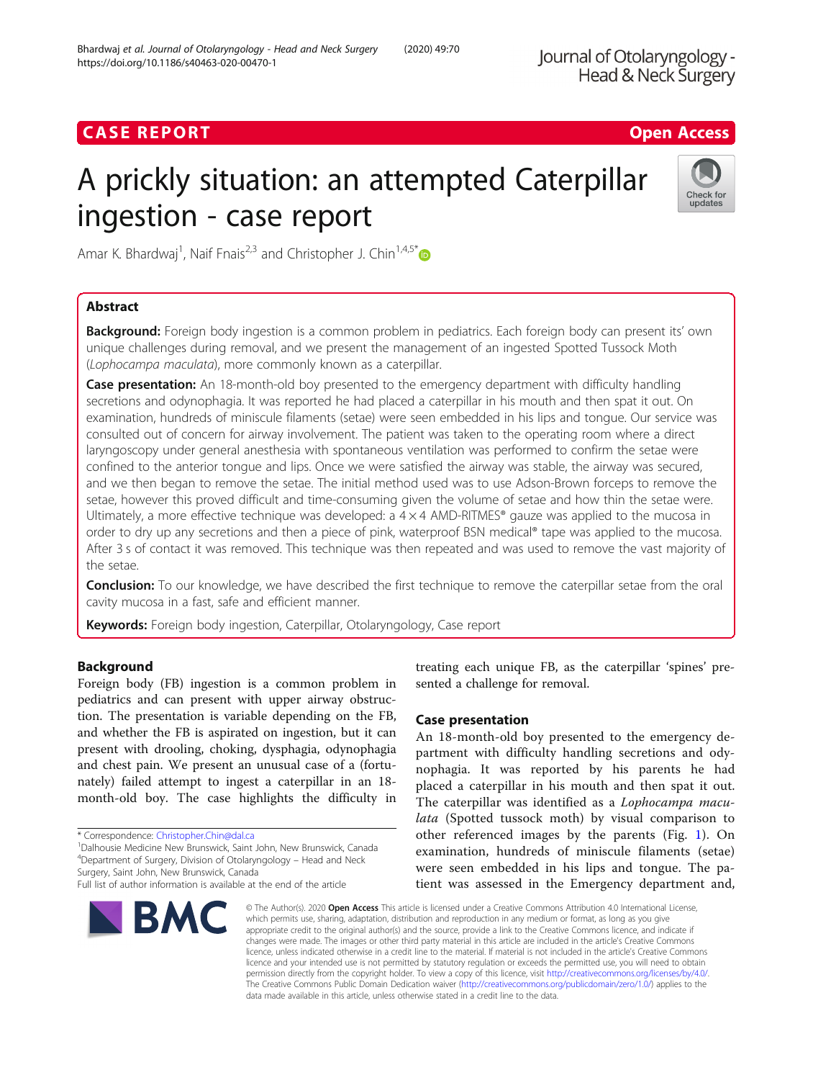# **CASE REPORT CASE REPORT CASE REPORT**

# A prickly situation: an attempted Caterpillar ingestion - case report



Amar K. Bhardwaj<sup>1</sup>, Naif Fnais<sup>2,3</sup> and Christopher J. Chin<sup>1,4,5\*</sup>

# Abstract

Background: Foreign body ingestion is a common problem in pediatrics. Each foreign body can present its' own unique challenges during removal, and we present the management of an ingested Spotted Tussock Moth (Lophocampa maculata), more commonly known as a caterpillar.

**Case presentation:** An 18-month-old boy presented to the emergency department with difficulty handling secretions and odynophagia. It was reported he had placed a caterpillar in his mouth and then spat it out. On examination, hundreds of miniscule filaments (setae) were seen embedded in his lips and tongue. Our service was consulted out of concern for airway involvement. The patient was taken to the operating room where a direct laryngoscopy under general anesthesia with spontaneous ventilation was performed to confirm the setae were confined to the anterior tongue and lips. Once we were satisfied the airway was stable, the airway was secured, and we then began to remove the setae. The initial method used was to use Adson-Brown forceps to remove the setae, however this proved difficult and time-consuming given the volume of setae and how thin the setae were. Ultimately, a more effective technique was developed: a  $4 \times 4$  AMD-RITMES® gauze was applied to the mucosa in order to dry up any secretions and then a piece of pink, waterproof BSN medical® tape was applied to the mucosa. After 3 s of contact it was removed. This technique was then repeated and was used to remove the vast majority of the setae.

Conclusion: To our knowledge, we have described the first technique to remove the caterpillar setae from the oral cavity mucosa in a fast, safe and efficient manner.

Keywords: Foreign body ingestion, Caterpillar, Otolaryngology, Case report

## Background

Foreign body (FB) ingestion is a common problem in pediatrics and can present with upper airway obstruction. The presentation is variable depending on the FB, and whether the FB is aspirated on ingestion, but it can present with drooling, choking, dysphagia, odynophagia and chest pain. We present an unusual case of a (fortunately) failed attempt to ingest a caterpillar in an 18 month-old boy. The case highlights the difficulty in

\* Correspondence: [Christopher.Chin@dal.ca](mailto:Christopher.Chin@dal.ca) <sup>1</sup>

Dalhousie Medicine New Brunswick, Saint John, New Brunswick, Canada <sup>4</sup>Department of Surgery, Division of Otolaryngology – Head and Neck Surgery, Saint John, New Brunswick, Canada

Full list of author information is available at the end of the article



treating each unique FB, as the caterpillar 'spines' presented a challenge for removal.

### Case presentation

An 18-month-old boy presented to the emergency department with difficulty handling secretions and odynophagia. It was reported by his parents he had placed a caterpillar in his mouth and then spat it out. The caterpillar was identified as a Lophocampa maculata (Spotted tussock moth) by visual comparison to other referenced images by the parents (Fig. [1](#page-1-0)). On examination, hundreds of miniscule filaments (setae) were seen embedded in his lips and tongue. The patient was assessed in the Emergency department and,

© The Author(s), 2020 **Open Access** This article is licensed under a Creative Commons Attribution 4.0 International License, which permits use, sharing, adaptation, distribution and reproduction in any medium or format, as long as you give appropriate credit to the original author(s) and the source, provide a link to the Creative Commons licence, and indicate if changes were made. The images or other third party material in this article are included in the article's Creative Commons licence, unless indicated otherwise in a credit line to the material. If material is not included in the article's Creative Commons licence and your intended use is not permitted by statutory regulation or exceeds the permitted use, you will need to obtain permission directly from the copyright holder. To view a copy of this licence, visit [http://creativecommons.org/licenses/by/4.0/.](http://creativecommons.org/licenses/by/4.0/) The Creative Commons Public Domain Dedication waiver [\(http://creativecommons.org/publicdomain/zero/1.0/](http://creativecommons.org/publicdomain/zero/1.0/)) applies to the data made available in this article, unless otherwise stated in a credit line to the data.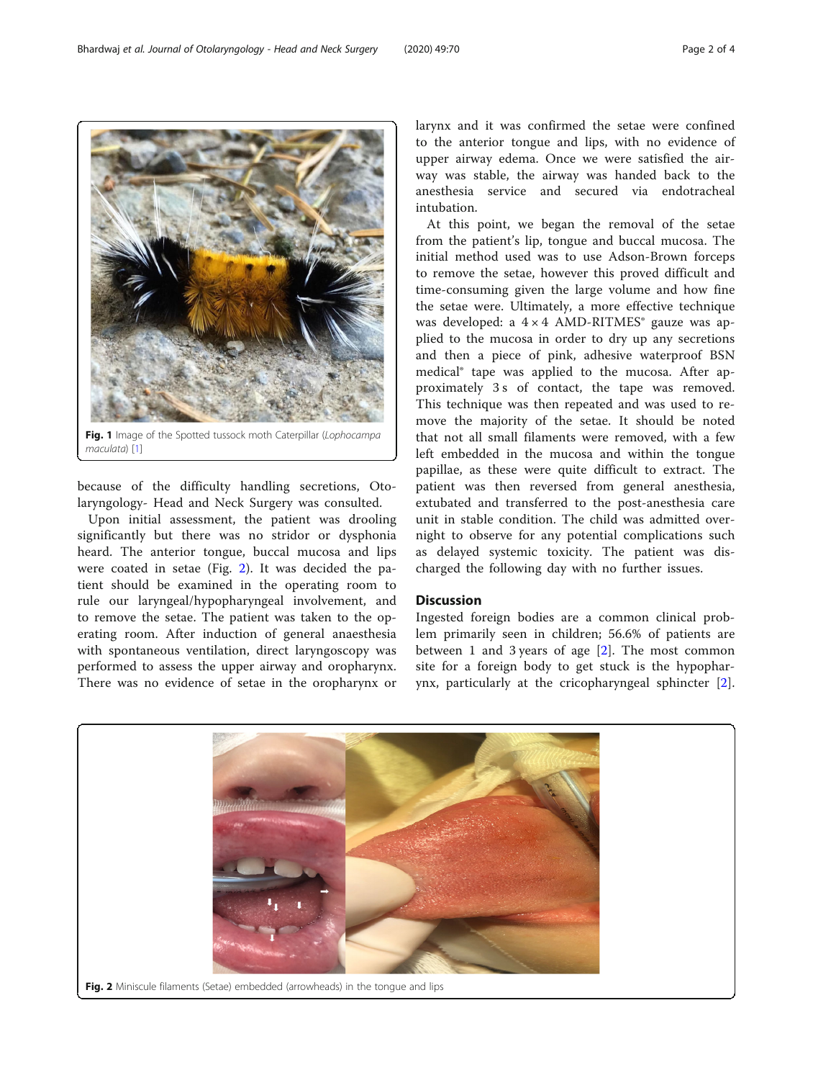because of the difficulty handling secretions, Otolaryngology- Head and Neck Surgery was consulted.

Upon initial assessment, the patient was drooling significantly but there was no stridor or dysphonia heard. The anterior tongue, buccal mucosa and lips were coated in setae (Fig. 2). It was decided the patient should be examined in the operating room to rule our laryngeal/hypopharyngeal involvement, and to remove the setae. The patient was taken to the operating room. After induction of general anaesthesia with spontaneous ventilation, direct laryngoscopy was performed to assess the upper airway and oropharynx. There was no evidence of setae in the oropharynx or

larynx and it was confirmed the setae were confined to the anterior tongue and lips, with no evidence of upper airway edema. Once we were satisfied the airway was stable, the airway was handed back to the anesthesia service and secured via endotracheal intubation.

At this point, we began the removal of the setae from the patient's lip, tongue and buccal mucosa. The initial method used was to use Adson-Brown forceps to remove the setae, however this proved difficult and time-consuming given the large volume and how fine the setae were. Ultimately, a more effective technique was developed: a  $4 \times 4$  AMD-RITMES<sup>®</sup> gauze was applied to the mucosa in order to dry up any secretions and then a piece of pink, adhesive waterproof BSN medical® tape was applied to the mucosa. After approximately 3 s of contact, the tape was removed. This technique was then repeated and was used to remove the majority of the setae. It should be noted that not all small filaments were removed, with a few left embedded in the mucosa and within the tongue papillae, as these were quite difficult to extract. The patient was then reversed from general anesthesia, extubated and transferred to the post-anesthesia care unit in stable condition. The child was admitted overnight to observe for any potential complications such as delayed systemic toxicity. The patient was discharged the following day with no further issues.

#### **Discussion**

Ingested foreign bodies are a common clinical problem primarily seen in children; 56.6% of patients are between 1 and 3 years of age [\[2](#page-2-0)]. The most common site for a foreign body to get stuck is the hypopharynx, particularly at the cricopharyngeal sphincter [\[2](#page-2-0)].



<span id="page-1-0"></span>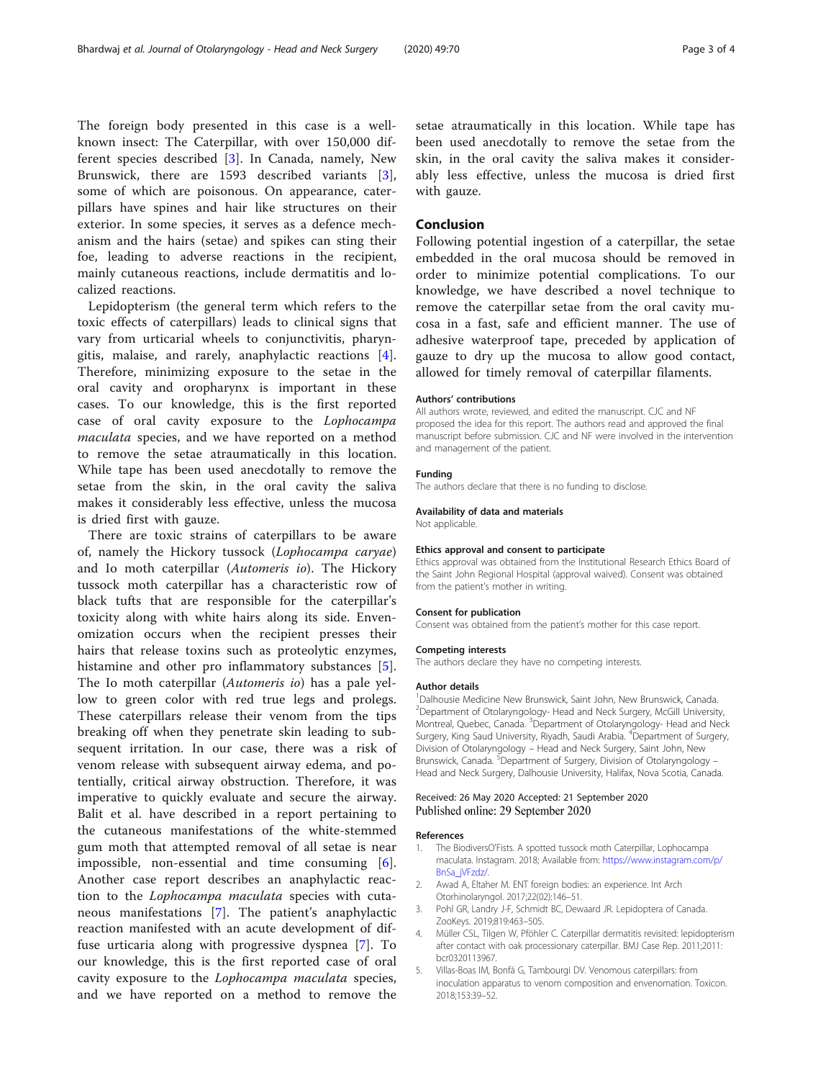<span id="page-2-0"></span>The foreign body presented in this case is a wellknown insect: The Caterpillar, with over 150,000 different species described [3]. In Canada, namely, New Brunswick, there are 1593 described variants [3], some of which are poisonous. On appearance, caterpillars have spines and hair like structures on their exterior. In some species, it serves as a defence mechanism and the hairs (setae) and spikes can sting their foe, leading to adverse reactions in the recipient, mainly cutaneous reactions, include dermatitis and lo-

calized reactions.

Lepidopterism (the general term which refers to the toxic effects of caterpillars) leads to clinical signs that vary from urticarial wheels to conjunctivitis, pharyngitis, malaise, and rarely, anaphylactic reactions [4]. Therefore, minimizing exposure to the setae in the oral cavity and oropharynx is important in these cases. To our knowledge, this is the first reported case of oral cavity exposure to the Lophocampa maculata species, and we have reported on a method to remove the setae atraumatically in this location. While tape has been used anecdotally to remove the setae from the skin, in the oral cavity the saliva makes it considerably less effective, unless the mucosa is dried first with gauze.

There are toxic strains of caterpillars to be aware of, namely the Hickory tussock (Lophocampa caryae) and Io moth caterpillar (Automeris io). The Hickory tussock moth caterpillar has a characteristic row of black tufts that are responsible for the caterpillar's toxicity along with white hairs along its side. Envenomization occurs when the recipient presses their hairs that release toxins such as proteolytic enzymes, histamine and other pro inflammatory substances [5]. The Io moth caterpillar (Automeris io) has a pale yellow to green color with red true legs and prolegs. These caterpillars release their venom from the tips breaking off when they penetrate skin leading to subsequent irritation. In our case, there was a risk of venom release with subsequent airway edema, and potentially, critical airway obstruction. Therefore, it was imperative to quickly evaluate and secure the airway. Balit et al. have described in a report pertaining to the cutaneous manifestations of the white-stemmed gum moth that attempted removal of all setae is near impossible, non-essential and time consuming [\[6](#page-3-0)]. Another case report describes an anaphylactic reaction to the Lophocampa maculata species with cutaneous manifestations [[7\]](#page-3-0). The patient's anaphylactic reaction manifested with an acute development of diffuse urticaria along with progressive dyspnea [\[7](#page-3-0)]. To our knowledge, this is the first reported case of oral cavity exposure to the Lophocampa maculata species, and we have reported on a method to remove the setae atraumatically in this location. While tape has been used anecdotally to remove the setae from the skin, in the oral cavity the saliva makes it considerably less effective, unless the mucosa is dried first with gauze.

#### Conclusion

Following potential ingestion of a caterpillar, the setae embedded in the oral mucosa should be removed in order to minimize potential complications. To our knowledge, we have described a novel technique to remove the caterpillar setae from the oral cavity mucosa in a fast, safe and efficient manner. The use of adhesive waterproof tape, preceded by application of gauze to dry up the mucosa to allow good contact, allowed for timely removal of caterpillar filaments.

#### Authors' contributions

All authors wrote, reviewed, and edited the manuscript. CJC and NF proposed the idea for this report. The authors read and approved the final manuscript before submission. CJC and NF were involved in the intervention and management of the patient.

#### Funding

The authors declare that there is no funding to disclose.

#### Availability of data and materials

Not applicable.

#### Ethics approval and consent to participate

Ethics approval was obtained from the Institutional Research Ethics Board of the Saint John Regional Hospital (approval waived). Consent was obtained from the patient's mother in writing.

#### Consent for publication

Consent was obtained from the patient's mother for this case report.

#### Competing interests

The authors declare they have no competing interests.

#### Author details

<sup>1</sup>Dalhousie Medicine New Brunswick, Saint John, New Brunswick, Canada. <sup>2</sup> Department of Otolaryngology- Head and Neck Surgery, McGill University, Montreal, Quebec, Canada. <sup>3</sup>Department of Otolaryngology- Head and Neck Surgery, King Saud University, Riyadh, Saudi Arabia. <sup>4</sup> Department of Surgery Division of Otolaryngology – Head and Neck Surgery, Saint John, New Brunswick, Canada. <sup>5</sup>Department of Surgery, Division of Otolaryngology -Head and Neck Surgery, Dalhousie University, Halifax, Nova Scotia, Canada.

#### Received: 26 May 2020 Accepted: 21 September 2020 Published online: 29 September 2020

#### References

- 1. The BiodiversO'Fists. A spotted tussock moth Caterpillar, Lophocampa maculata. Instagram. 2018; Available from: [https://www.instagram.com/p/](https://www.instagram.com/p/BnSa_jVFzdz/) [BnSa\\_jVFzdz/](https://www.instagram.com/p/BnSa_jVFzdz/).
- 2. Awad A, Eltaher M. ENT foreign bodies: an experience. Int Arch Otorhinolaryngol. 2017;22(02):146–51.
- 3. Pohl GR, Landry J-F, Schmidt BC, Dewaard JR. Lepidoptera of Canada. ZooKeys. 2019;819:463–505.
- 4. Müller CSL, Tilgen W, Pföhler C. Caterpillar dermatitis revisited: lepidopterism after contact with oak processionary caterpillar. BMJ Case Rep. 2011;2011: bcr0320113967.
- 5. Villas-Boas IM, Bonfá G, Tambourgi DV. Venomous caterpillars: from inoculation apparatus to venom composition and envenomation. Toxicon. 2018;153:39–52.